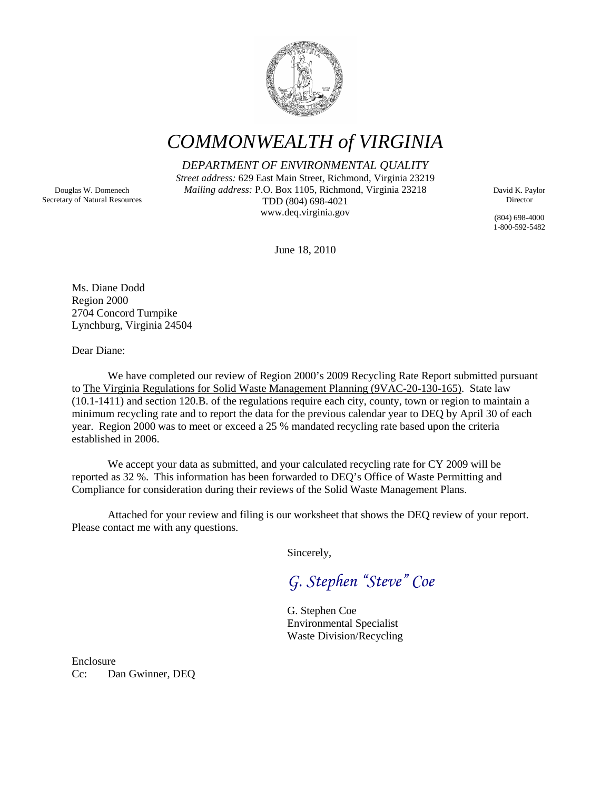

*COMMONWEALTH of VIRGINIA*

*DEPARTMENT OF ENVIRONMENTAL QUALITY*

*Street address:* 629 East Main Street, Richmond, Virginia 23219 *Mailing address:* P.O. Box 1105, Richmond, Virginia 23218 TDD (804) 698-4021 www.deq.virginia.gov

David K. Paylor Director

(804) 698-4000 1-800-592-5482

June 18, 2010

Ms. Diane Dodd Region 2000 2704 Concord Turnpike Lynchburg, Virginia 24504

Dear Diane:

We have completed our review of Region 2000's 2009 Recycling Rate Report submitted pursuant to The Virginia Regulations for Solid Waste Management Planning (9VAC-20-130-165). State law (10.1-1411) and section 120.B. of the regulations require each city, county, town or region to maintain a minimum recycling rate and to report the data for the previous calendar year to DEQ by April 30 of each year. Region 2000 was to meet or exceed a 25 % mandated recycling rate based upon the criteria established in 2006.

We accept your data as submitted, and your calculated recycling rate for CY 2009 will be reported as 32 %. This information has been forwarded to DEQ's Office of Waste Permitting and Compliance for consideration during their reviews of the Solid Waste Management Plans.

Attached for your review and filing is our worksheet that shows the DEQ review of your report. Please contact me with any questions.

Sincerely,

*G. Stephen "Steve" Coe*

G. Stephen Coe Environmental Specialist Waste Division/Recycling

Enclosure Cc: Dan Gwinner, DEQ

Douglas W. Domenech Secretary of Natural Resources